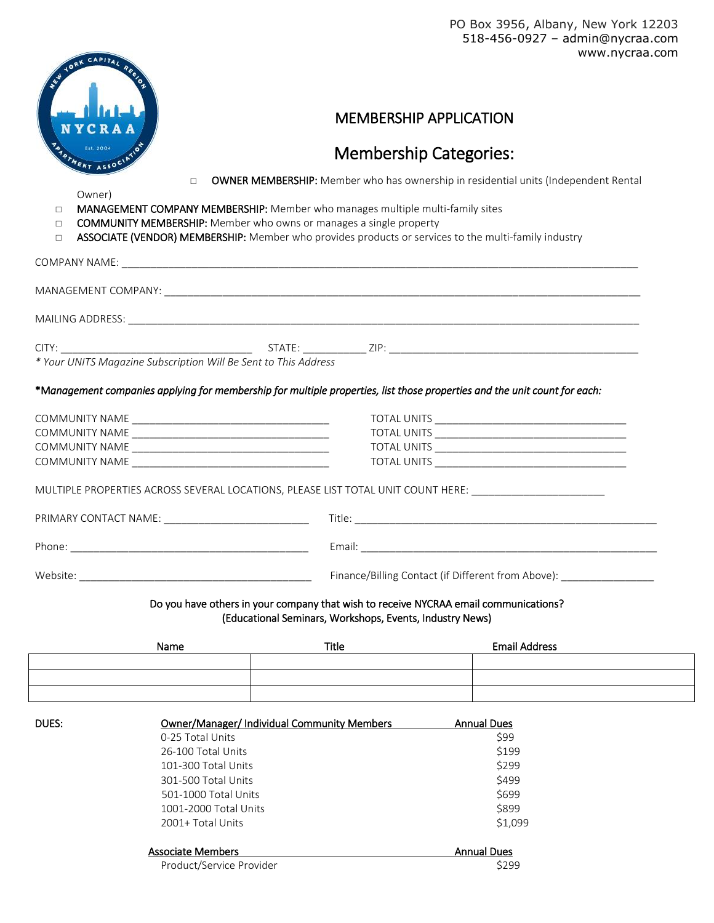PO Box 3956, Albany, New York 12203 518-456-0927 – admin@nycraa.com www.nycraa.com



### MEMBERSHIP APPLICATION

### Membership Categories:

Owner)

- □ OWNER MEMBERSHIP: Member who has ownership in residential units (Independent Rental
- □ MANAGEMENT COMPANY MEMBERSHIP: Member who manages multiple multi-family sites
- □ **COMMUNITY MEMBERSHIP:** Member who owns or manages a single property
- □ ASSOCIATE (VENDOR) MEMBERSHIP: Member who provides products or services to the multi-family industry

| COMPANY NAME:<br>$\frac{1}{2}$ . The contract of the contract of the contract of the contract of the contract of the contract of the contract of the contract of the contract of the contract of the contract of the contract of the contract of t |             |  |
|----------------------------------------------------------------------------------------------------------------------------------------------------------------------------------------------------------------------------------------------------|-------------|--|
| MANAGEMENT COMPANY: And All Alberta Management Company:                                                                                                                                                                                            |             |  |
| MAILING ADDRESS:                                                                                                                                                                                                                                   |             |  |
| CITY:<br>* Your UNITS Magazine Subscription Will Be Sent to This Address                                                                                                                                                                           | STATE: ZIP: |  |

#### \*M*anagement companies applying for membership for multiple properties, list those properties and the unit count for each:*

| COMMUNITY NAME        | TOTAL UNITS        |
|-----------------------|--------------------|
| COMMUNITY NAME        | TOTAL UNITS        |
| COMMUNITY NAME        | TOTAL UNITS        |
| <b>COMMUNITY NAME</b> | <b>TOTAL UNITS</b> |

MULTIPLE PROPERTIES ACROSS SEVERAL LOCATIONS, PLEASE LIST TOTAL UNIT COUNT HERE: \_\_\_\_\_\_\_\_\_\_\_\_\_\_\_\_\_\_\_\_\_\_\_\_\_\_\_\_

| PRIMARY CONTACT NAME: | Title:                                             |
|-----------------------|----------------------------------------------------|
| Phone:                | Email:                                             |
| Website:              | Finance/Billing Contact (if Different from Above): |

#### Do you have others in your company that wish to receive NYCRAA email communications? (Educational Seminars, Workshops, Events, Industry News)

| Name | <b>Title</b> | <b>Email Address</b> |
|------|--------------|----------------------|
|      |              |                      |
|      |              |                      |
|      |              |                      |

| DUES: | Owner/Manager/Individual Community Members | <b>Annual Dues</b> |
|-------|--------------------------------------------|--------------------|
|       | 0-25 Total Units                           | \$99               |
|       | 26-100 Total Units                         | \$199              |
|       | 101-300 Total Units                        | \$299              |
|       | 301-500 Total Units                        | \$499              |
|       | 501-1000 Total Units                       | \$699              |
|       | 1001-2000 Total Units                      | \$899              |
|       | 2001+ Total Units                          | \$1,099            |
|       | <b>Associate Members</b>                   | <b>Annual Dues</b> |
|       | Product/Service Provider                   | \$299              |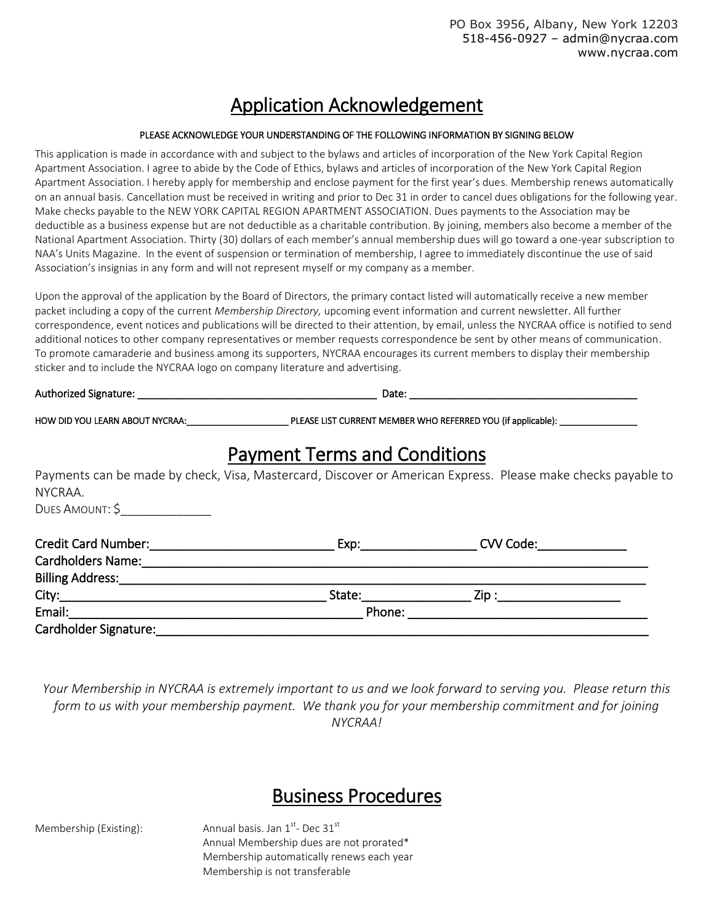# Application Acknowledgement

#### PLEASE ACKNOWLEDGE YOUR UNDERSTANDING OF THE FOLLOWING INFORMATION BY SIGNING BELOW

This application is made in accordance with and subject to the bylaws and articles of incorporation of the New York Capital Region Apartment Association. I agree to abide by the Code of Ethics, bylaws and articles of incorporation of the New York Capital Region Apartment Association. I hereby apply for membership and enclose payment for the first year's dues. Membership renews automatically on an annual basis. Cancellation must be received in writing and prior to Dec 31 in order to cancel dues obligations for the following year. Make checks payable to the NEW YORK CAPITAL REGION APARTMENT ASSOCIATION. Dues payments to the Association may be deductible as a business expense but are not deductible as a charitable contribution. By joining, members also become a member of the National Apartment Association. Thirty (30) dollars of each member's annual membership dues will go toward a one-year subscription to NAA's Units Magazine. In the event of suspension or termination of membership, I agree to immediately discontinue the use of said Association's insignias in any form and will not represent myself or my company as a member.

Upon the approval of the application by the Board of Directors, the primary contact listed will automatically receive a new member packet including a copy of the current *Membership Directory,* upcoming event information and current newsletter. All further correspondence, event notices and publications will be directed to their attention, by email, unless the NYCRAA office is notified to send additional notices to other company representatives or member requests correspondence be sent by other means of communication. To promote camaraderie and business among its supporters, NYCRAA encourages its current members to display their membership sticker and to include the NYCRAA logo on company literature and advertising.

Authorized Signature: \_\_\_\_\_\_\_\_\_\_\_\_\_\_\_\_\_\_\_\_\_\_\_\_\_\_\_\_\_\_\_\_\_\_\_\_\_\_\_\_\_\_ Date: \_\_\_\_\_\_\_\_\_\_\_\_\_\_\_\_\_\_\_\_\_\_\_\_\_\_\_\_\_\_\_\_\_\_\_\_\_\_\_\_

HOW DID YOU LEARN ABOUT NYCRAA: <br>PLEASE LIST CURRENT MEMBER WHO REFERRED YOU (if applicable):

### Payment Terms and Conditions

Payments can be made by check, Visa, Mastercard, Discover or American Express. Please make checks payable to NYCRAA.

DUES AMOUNT: \$\_\_\_\_\_\_\_\_\_\_\_\_\_

| Credit Card Number:     | Exp:   | CVV Code:         |
|-------------------------|--------|-------------------|
| Cardholders Name:       |        |                   |
| <b>Billing Address:</b> |        |                   |
| City:                   | State: | $\mathsf{Z}$ ip : |
| Email:                  | Phone: |                   |
| Cardholder Signature:   |        |                   |

*Your Membership in NYCRAA is extremely important to us and we look forward to serving you. Please return this form to us with your membership payment. We thank you for your membership commitment and for joining NYCRAA!*

## Business Procedures

Membership (Existing):

Annual basis. Jan 1<sup>st</sup>- Dec 31<sup>st</sup> Annual Membership dues are not prorated\* Membership automatically renews each year Membership is not transferable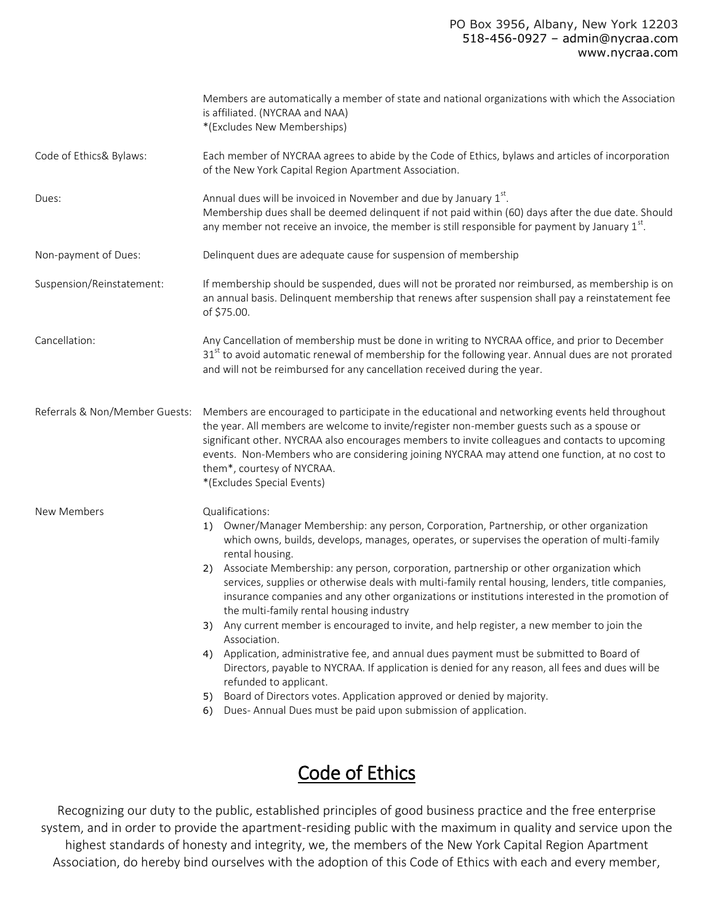| Members are automatically a member of state and national organizations with which the Association<br>is affiliated. (NYCRAA and NAA)<br>*(Excludes New Memberships)                                                                                                                                                                                                                                                                                                                                                                                                                                                                                                                                                                                                                                                                                                                                                                                                                                                                                                                 |
|-------------------------------------------------------------------------------------------------------------------------------------------------------------------------------------------------------------------------------------------------------------------------------------------------------------------------------------------------------------------------------------------------------------------------------------------------------------------------------------------------------------------------------------------------------------------------------------------------------------------------------------------------------------------------------------------------------------------------------------------------------------------------------------------------------------------------------------------------------------------------------------------------------------------------------------------------------------------------------------------------------------------------------------------------------------------------------------|
| Each member of NYCRAA agrees to abide by the Code of Ethics, bylaws and articles of incorporation<br>of the New York Capital Region Apartment Association.                                                                                                                                                                                                                                                                                                                                                                                                                                                                                                                                                                                                                                                                                                                                                                                                                                                                                                                          |
| Annual dues will be invoiced in November and due by January $1st$ .<br>Membership dues shall be deemed delinquent if not paid within (60) days after the due date. Should<br>any member not receive an invoice, the member is still responsible for payment by January $1st$ .                                                                                                                                                                                                                                                                                                                                                                                                                                                                                                                                                                                                                                                                                                                                                                                                      |
| Delinquent dues are adequate cause for suspension of membership                                                                                                                                                                                                                                                                                                                                                                                                                                                                                                                                                                                                                                                                                                                                                                                                                                                                                                                                                                                                                     |
| If membership should be suspended, dues will not be prorated nor reimbursed, as membership is on<br>an annual basis. Delinquent membership that renews after suspension shall pay a reinstatement fee<br>of \$75.00.                                                                                                                                                                                                                                                                                                                                                                                                                                                                                                                                                                                                                                                                                                                                                                                                                                                                |
| Any Cancellation of membership must be done in writing to NYCRAA office, and prior to December<br>31st to avoid automatic renewal of membership for the following year. Annual dues are not prorated<br>and will not be reimbursed for any cancellation received during the year.                                                                                                                                                                                                                                                                                                                                                                                                                                                                                                                                                                                                                                                                                                                                                                                                   |
| Members are encouraged to participate in the educational and networking events held throughout<br>the year. All members are welcome to invite/register non-member guests such as a spouse or<br>significant other. NYCRAA also encourages members to invite colleagues and contacts to upcoming<br>events. Non-Members who are considering joining NYCRAA may attend one function, at no cost to<br>them*, courtesy of NYCRAA.<br>*(Excludes Special Events)                                                                                                                                                                                                                                                                                                                                                                                                                                                                                                                                                                                                                        |
| Qualifications:<br>1) Owner/Manager Membership: any person, Corporation, Partnership, or other organization<br>which owns, builds, develops, manages, operates, or supervises the operation of multi-family<br>rental housing.<br>2) Associate Membership: any person, corporation, partnership or other organization which<br>services, supplies or otherwise deals with multi-family rental housing, lenders, title companies,<br>insurance companies and any other organizations or institutions interested in the promotion of<br>the multi-family rental housing industry<br>Any current member is encouraged to invite, and help register, a new member to join the<br>3)<br>Association.<br>Application, administrative fee, and annual dues payment must be submitted to Board of<br>4)<br>Directors, payable to NYCRAA. If application is denied for any reason, all fees and dues will be<br>refunded to applicant.<br>Board of Directors votes. Application approved or denied by majority.<br>5)<br>Dues-Annual Dues must be paid upon submission of application.<br>6) |
|                                                                                                                                                                                                                                                                                                                                                                                                                                                                                                                                                                                                                                                                                                                                                                                                                                                                                                                                                                                                                                                                                     |

# Code of Ethics

Recognizing our duty to the public, established principles of good business practice and the free enterprise system, and in order to provide the apartment-residing public with the maximum in quality and service upon the highest standards of honesty and integrity, we, the members of the New York Capital Region Apartment Association, do hereby bind ourselves with the adoption of this Code of Ethics with each and every member,